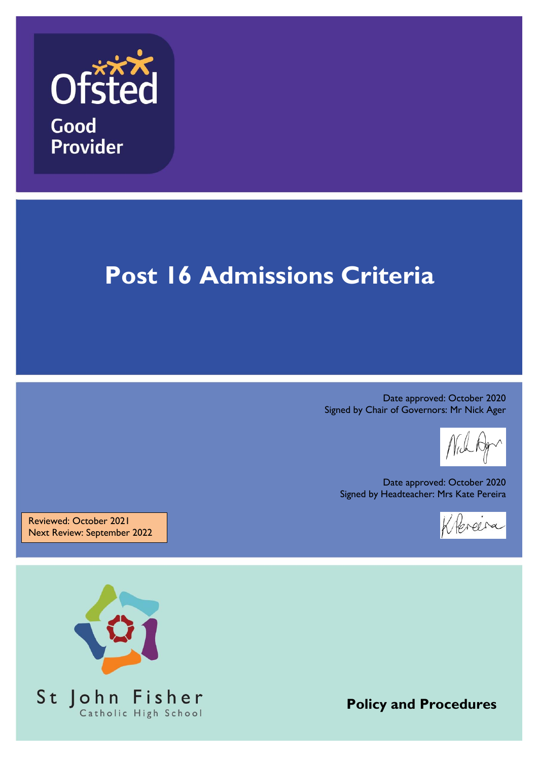

# **Post 16 Admissions Criteria**

Date approved: October 2020 Signed by Chair of Governors: Mr Nick Ager

Date approved: October 2020 Signed by Headteacher: Mrs Kate Pereira

Klereira

Reviewed: October 2021 Next Review: September 2022



**Policy and Procedures**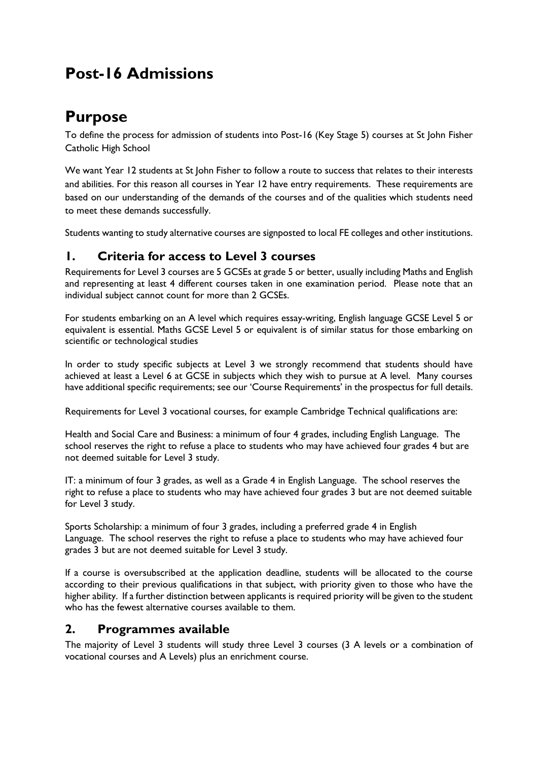## **Post-16 Admissions**

## **Purpose**

To define the process for admission of students into Post-16 (Key Stage 5) courses at St John Fisher Catholic High School

We want Year 12 students at St John Fisher to follow a route to success that relates to their interests and abilities. For this reason all courses in Year 12 have entry requirements. These requirements are based on our understanding of the demands of the courses and of the qualities which students need to meet these demands successfully.

Students wanting to study alternative courses are signposted to local FE colleges and other institutions.

#### **1. Criteria for access to Level 3 courses**

Requirements for Level 3 courses are 5 GCSEs at grade 5 or better, usually including Maths and English and representing at least 4 different courses taken in one examination period. Please note that an individual subject cannot count for more than 2 GCSEs.

For students embarking on an A level which requires essay-writing, English language GCSE Level 5 or equivalent is essential. Maths GCSE Level 5 or equivalent is of similar status for those embarking on scientific or technological studies

In order to study specific subjects at Level 3 we strongly recommend that students should have achieved at least a Level 6 at GCSE in subjects which they wish to pursue at A level. Many courses have additional specific requirements; see our 'Course Requirements' in the prospectus for full details.

Requirements for Level 3 vocational courses, for example Cambridge Technical qualifications are:

Health and Social Care and Business: a minimum of four 4 grades, including English Language. The school reserves the right to refuse a place to students who may have achieved four grades 4 but are not deemed suitable for Level 3 study.

IT: a minimum of four 3 grades, as well as a Grade 4 in English Language. The school reserves the right to refuse a place to students who may have achieved four grades 3 but are not deemed suitable for Level 3 study.

Sports Scholarship: a minimum of four 3 grades, including a preferred grade 4 in English Language. The school reserves the right to refuse a place to students who may have achieved four grades 3 but are not deemed suitable for Level 3 study.

If a course is oversubscribed at the application deadline, students will be allocated to the course according to their previous qualifications in that subject, with priority given to those who have the higher ability. If a further distinction between applicants is required priority will be given to the student who has the fewest alternative courses available to them.

#### **2. Programmes available**

The majority of Level 3 students will study three Level 3 courses (3 A levels or a combination of vocational courses and A Levels) plus an enrichment course.